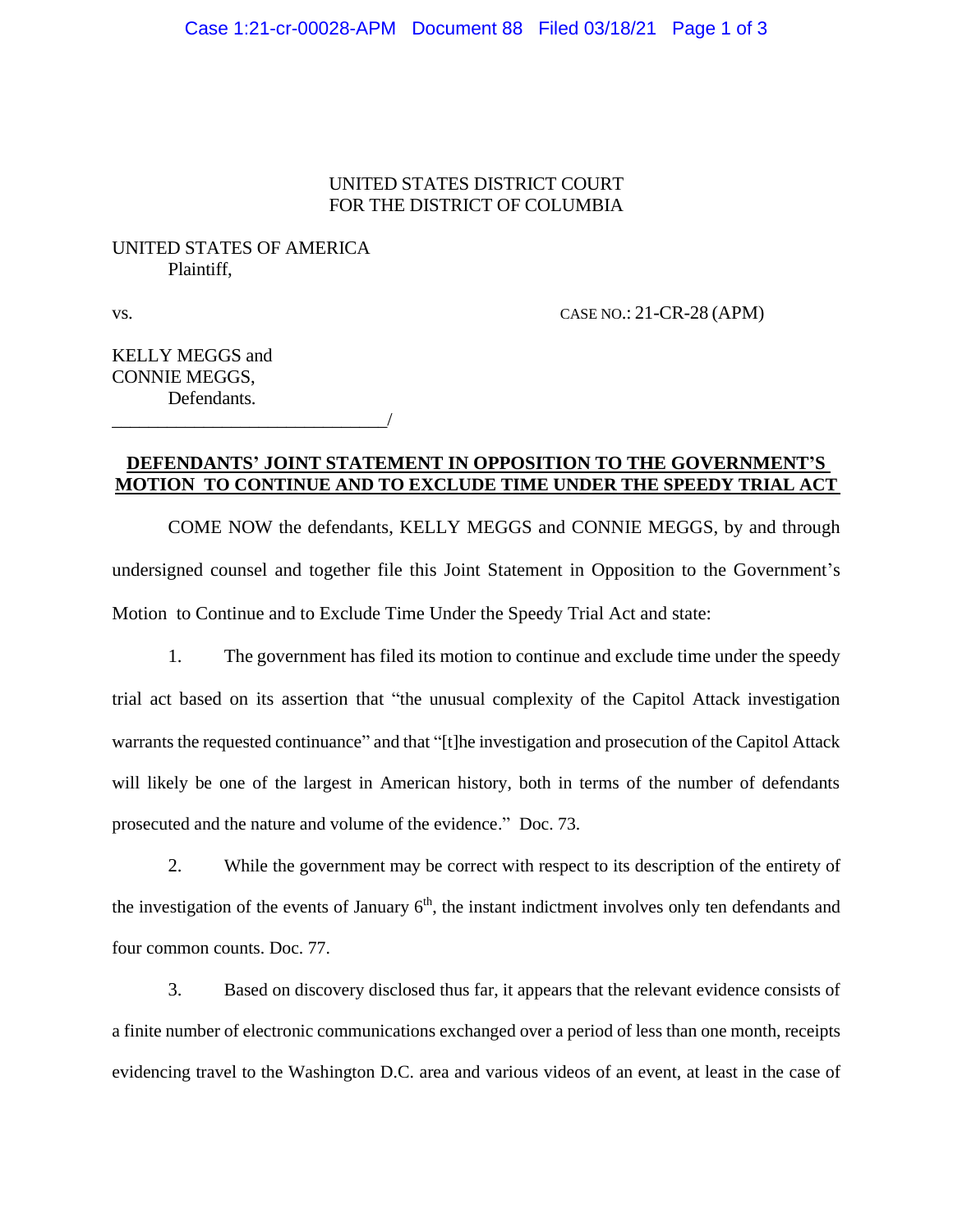#### UNITED STATES DISTRICT COURT FOR THE DISTRICT OF COLUMBIA

## UNITED STATES OF AMERICA Plaintiff,

\_\_\_\_\_\_\_\_\_\_\_\_\_\_\_\_\_\_\_\_\_\_\_\_\_\_\_\_\_\_/

vs. CASE NO.: 21-CR-28 (APM)

KELLY MEGGS and CONNIE MEGGS, Defendants.

### **DEFENDANTS' JOINT STATEMENT IN OPPOSITION TO THE GOVERNMENT'S MOTION TO CONTINUE AND TO EXCLUDE TIME UNDER THE SPEEDY TRIAL ACT**

COME NOW the defendants, KELLY MEGGS and CONNIE MEGGS, by and through undersigned counsel and together file this Joint Statement in Opposition to the Government's Motion to Continue and to Exclude Time Under the Speedy Trial Act and state:

1. The government has filed its motion to continue and exclude time under the speedy trial act based on its assertion that "the unusual complexity of the Capitol Attack investigation warrants the requested continuance" and that "[t]he investigation and prosecution of the Capitol Attack will likely be one of the largest in American history, both in terms of the number of defendants prosecuted and the nature and volume of the evidence." Doc. 73.

2. While the government may be correct with respect to its description of the entirety of the investigation of the events of January  $6<sup>th</sup>$ , the instant indictment involves only ten defendants and four common counts. Doc. 77.

3. Based on discovery disclosed thus far, it appears that the relevant evidence consists of a finite number of electronic communications exchanged over a period of less than one month, receipts evidencing travel to the Washington D.C. area and various videos of an event, at least in the case of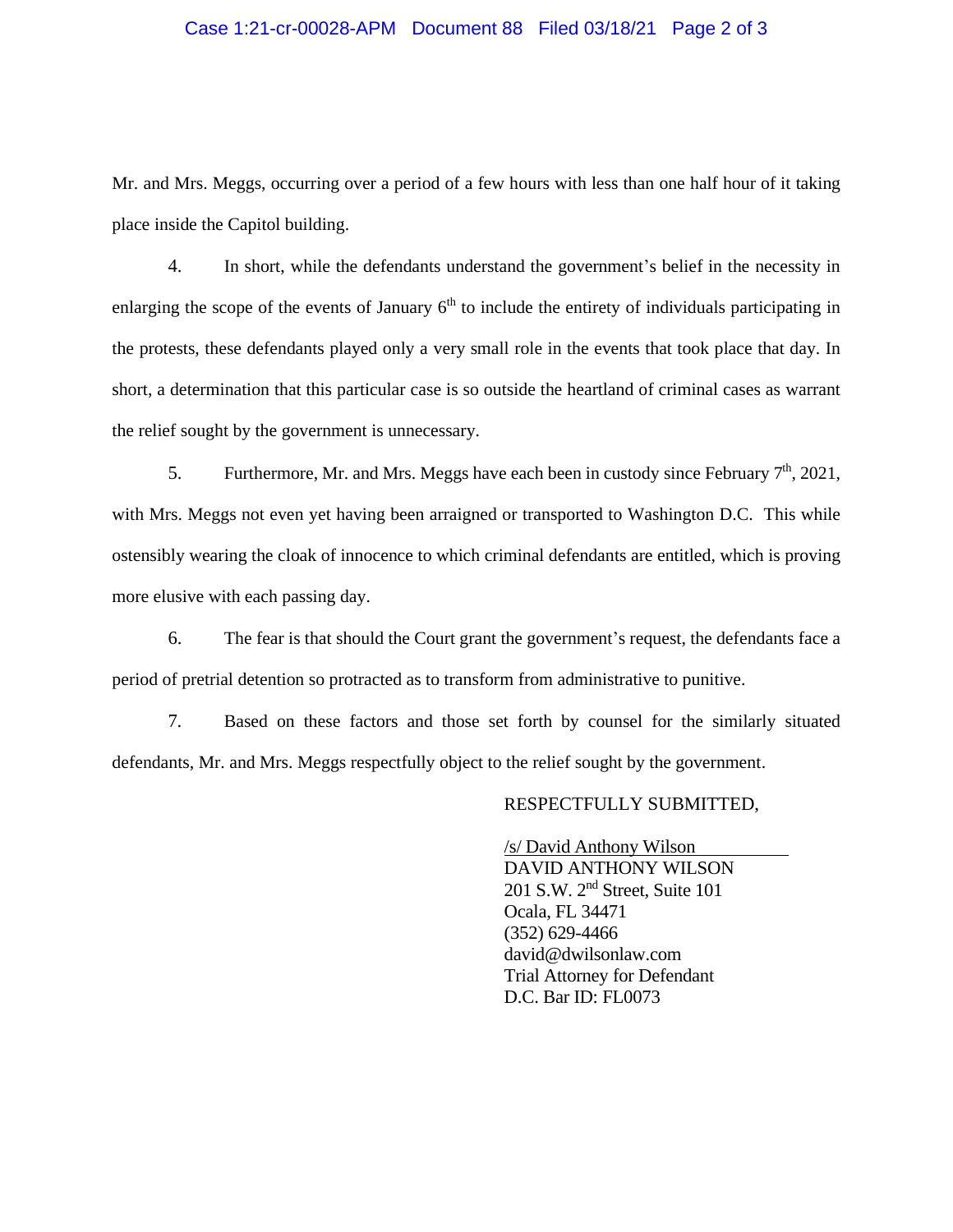#### Case 1:21-cr-00028-APM Document 88 Filed 03/18/21 Page 2 of 3

Mr. and Mrs. Meggs, occurring over a period of a few hours with less than one half hour of it taking place inside the Capitol building.

4. In short, while the defendants understand the government's belief in the necessity in enlarging the scope of the events of January  $6<sup>th</sup>$  to include the entirety of individuals participating in the protests, these defendants played only a very small role in the events that took place that day. In short, a determination that this particular case is so outside the heartland of criminal cases as warrant the relief sought by the government is unnecessary.

5. Furthermore, Mr. and Mrs. Meggs have each been in custody since February  $7<sup>th</sup>$ , 2021, with Mrs. Meggs not even yet having been arraigned or transported to Washington D.C. This while ostensibly wearing the cloak of innocence to which criminal defendants are entitled, which is proving more elusive with each passing day.

6. The fear is that should the Court grant the government's request, the defendants face a period of pretrial detention so protracted as to transform from administrative to punitive.

7. Based on these factors and those set forth by counsel for the similarly situated defendants, Mr. and Mrs. Meggs respectfully object to the relief sought by the government.

#### RESPECTFULLY SUBMITTED,

 /s/ David Anthony Wilson DAVID ANTHONY WILSON 201 S.W. 2nd Street, Suite 101 Ocala, FL 34471 (352) 629-4466 david@dwilsonlaw.com Trial Attorney for Defendant D.C. Bar ID: FL0073